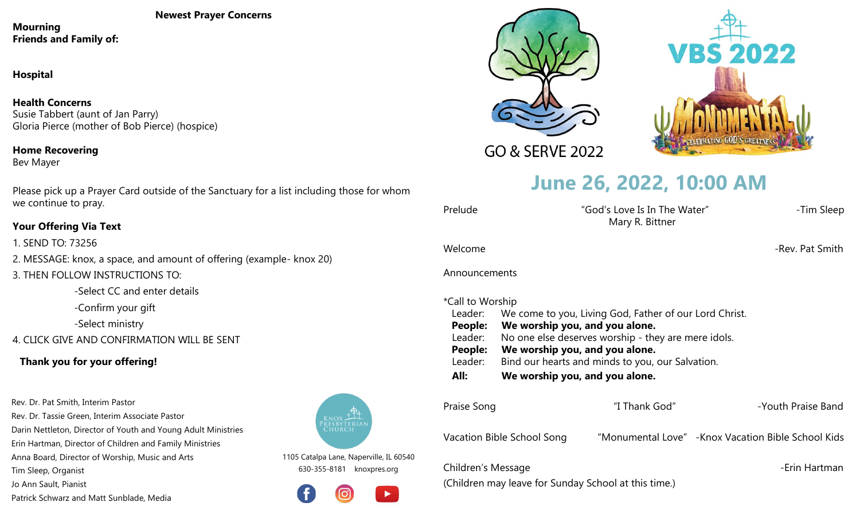**Newest Prayer Concerns**

**Mourning Friends and Family of:**

**Hospital**

**Health Concerns** Susie Tabbert (aunt of Jan Parry) Gloria Pierce (mother of Bob Pierce) (hospice)

**Home Recovering** Bev Mayer

Please pick up a Prayer Card outside of the Sanctuary for a list including those for whom we continue to pray.

### **Your Offering Via Text**

1. SEND TO: 73256 2. MESSAGE: knox, a space, and amount of offering (example- knox 20)

3. THEN FOLLOW INSTRUCTIONS TO:

-Select CC and enter details

-Confirm your gift

-Select ministry

4. CLICK GIVE AND CONFIRMATION WILL BE SENT

## **Thank you for your offering!**

Rev. Dr. Pat Smith, Interim Pastor Rev. Dr. Tassie Green, Interim Associate Pastor Darin Nettleton, Director of Youth and Young Adult Ministries Erin Hartman, Director of Children and Family Ministries Anna Board, Director of Worship, Music and Arts

Tim Sleep, Organist

Jo Ann Sault, Pianist

Patrick Schwarz and Matt Sunblade, Media







GO & SERVE 2022

# **June 26, 2022, 10:00 AM**

| Prelude | "God's Love Is In The Water" | -Tim Sleep |
|---------|------------------------------|------------|
|         | Mary R. Bittner              |            |

Welcome -Rev. Pat Smith

Announcements

### \*Call to Worship

| All:    | We worship you, and you alone.                         |
|---------|--------------------------------------------------------|
| Leader: | Bind our hearts and minds to you, our Salvation.       |
| People: | We worship you, and you alone.                         |
| Leader: | No one else deserves worship - they are mere idols.    |
| People: | We worship you, and you alone.                         |
| Leader: | We come to you, Living God, Father of our Lord Christ. |
|         |                                                        |

| Praise Song                | "I Thank God" | -Youth Praise Band                                  |
|----------------------------|---------------|-----------------------------------------------------|
| Vacation Bible School Song |               | "Monumental Love" - Knox Vacation Bible School Kids |
| Children's Message         |               | -Erin Hartman                                       |

(Children may leave for Sunday School at this time.)